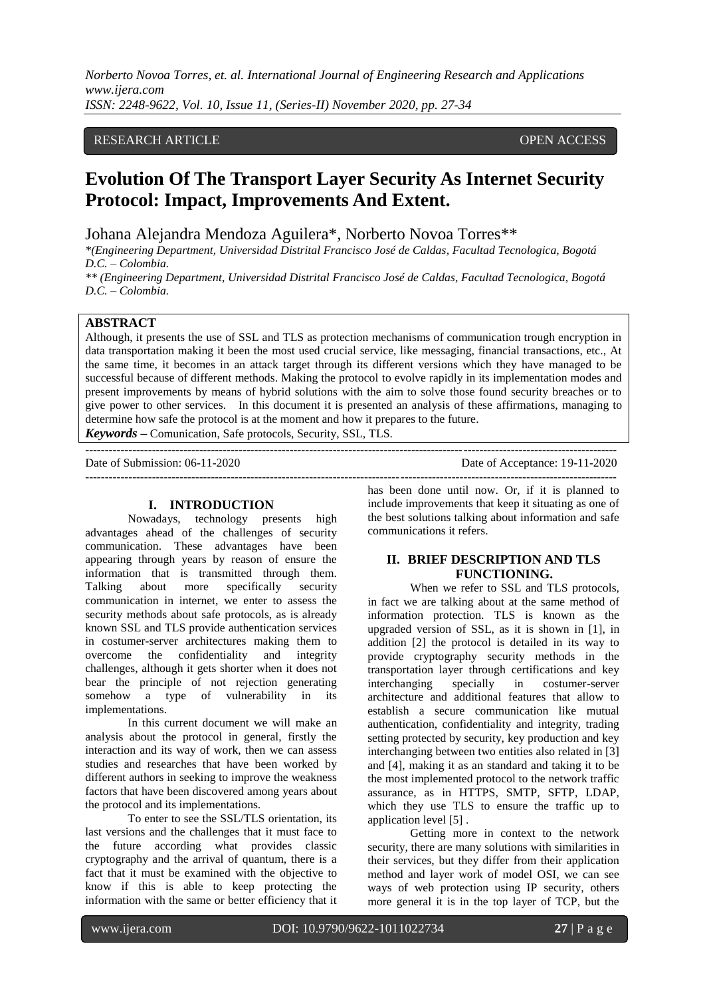## RESEARCH ARTICLE OPEN ACCESS

# **Evolution Of The Transport Layer Security As Internet Security Protocol: Impact, Improvements And Extent.**

Johana Alejandra Mendoza Aguilera\*, Norberto Novoa Torres\*\*

*\*(Engineering Department, Universidad Distrital Francisco José de Caldas, Facultad Tecnologica, Bogotá D.C. – Colombia.*

*\*\* (Engineering Department, Universidad Distrital Francisco José de Caldas, Facultad Tecnologica, Bogotá D.C. – Colombia.*

#### **ABSTRACT**

Although, it presents the use of SSL and TLS as protection mechanisms of communication trough encryption in data transportation making it been the most used crucial service, like messaging, financial transactions, etc., At the same time, it becomes in an attack target through its different versions which they have managed to be successful because of different methods. Making the protocol to evolve rapidly in its implementation modes and present improvements by means of hybrid solutions with the aim to solve those found security breaches or to give power to other services. In this document it is presented an analysis of these affirmations, managing to determine how safe the protocol is at the moment and how it prepares to the future.

---------------------------------------------------------------------------------------------------------------------------------------

*Keywords* **–** Comunication, Safe protocols, Security, SSL, TLS.

---------------------------------------------------------------------------------------------------------------------------------------

Date of Submission: 06-11-2020 Date of Acceptance: 19-11-2020

#### **I. INTRODUCTION**

Nowadays, technology presents high advantages ahead of the challenges of security communication. These advantages have been appearing through years by reason of ensure the information that is transmitted through them. Talking about more specifically security communication in internet, we enter to assess the security methods about safe protocols, as is already known SSL and TLS provide authentication services in costumer-server architectures making them to overcome the confidentiality and integrity challenges, although it gets shorter when it does not bear the principle of not rejection generating somehow a type of vulnerability in its implementations.

In this current document we will make an analysis about the protocol in general, firstly the interaction and its way of work, then we can assess studies and researches that have been worked by different authors in seeking to improve the weakness factors that have been discovered among years about the protocol and its implementations.

To enter to see the SSL/TLS orientation, its last versions and the challenges that it must face to the future according what provides classic cryptography and the arrival of quantum, there is a fact that it must be examined with the objective to know if this is able to keep protecting the information with the same or better efficiency that it

has been done until now. Or, if it is planned to include improvements that keep it situating as one of the best solutions talking about information and safe communications it refers.

# **II. BRIEF DESCRIPTION AND TLS FUNCTIONING.**

When we refer to SSL and TLS protocols, in fact we are talking about at the same method of information protection. TLS is known as the upgraded version of SSL, as it is shown in [1], in addition [2] the protocol is detailed in its way to provide cryptography security methods in the transportation layer through certifications and key interchanging specially in costumer-server architecture and additional features that allow to establish a secure communication like mutual authentication, confidentiality and integrity, trading setting protected by security, key production and key interchanging between two entities also related in [3] and [4], making it as an standard and taking it to be the most implemented protocol to the network traffic assurance, as in HTTPS, SMTP, SFTP, LDAP, which they use TLS to ensure the traffic up to application level [5] .

Getting more in context to the network security, there are many solutions with similarities in their services, but they differ from their application method and layer work of model OSI, we can see ways of web protection using IP security, others more general it is in the top layer of TCP, but the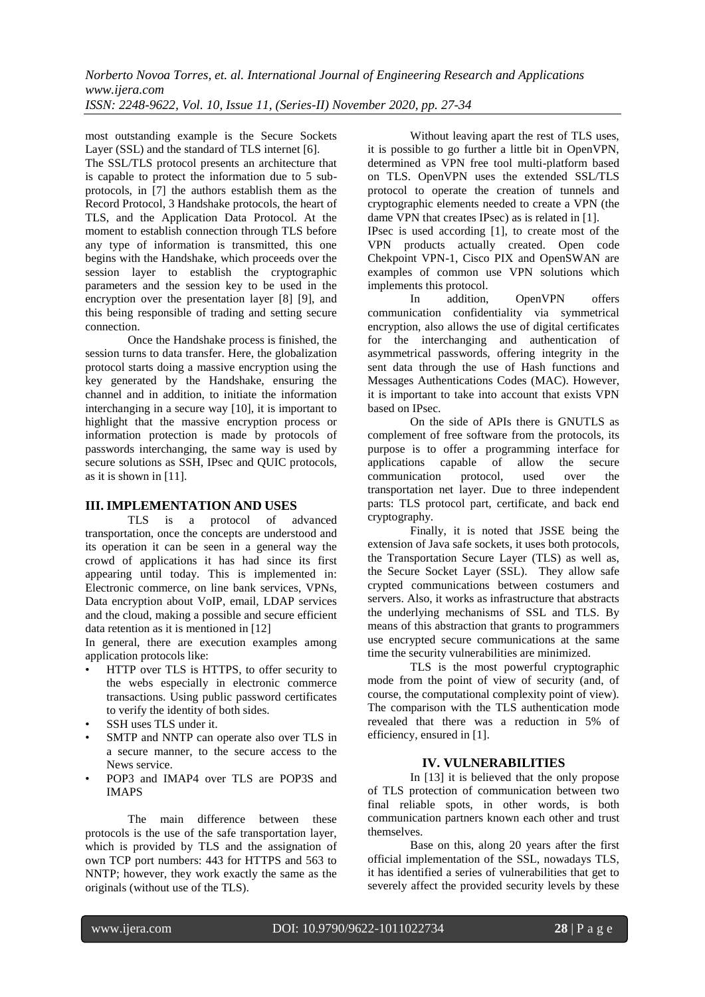most outstanding example is the Secure Sockets Layer (SSL) and the standard of TLS internet [6].

The SSL/TLS protocol presents an architecture that is capable to protect the information due to 5 subprotocols, in [7] the authors establish them as the Record Protocol, 3 Handshake protocols, the heart of TLS, and the Application Data Protocol. At the moment to establish connection through TLS before any type of information is transmitted, this one begins with the Handshake, which proceeds over the session layer to establish the cryptographic parameters and the session key to be used in the encryption over the presentation layer [8] [9], and this being responsible of trading and setting secure connection.

Once the Handshake process is finished, the session turns to data transfer. Here, the globalization protocol starts doing a massive encryption using the key generated by the Handshake, ensuring the channel and in addition, to initiate the information interchanging in a secure way [10], it is important to highlight that the massive encryption process or information protection is made by protocols of passwords interchanging, the same way is used by secure solutions as SSH, IPsec and QUIC protocols, as it is shown in [11].

## **III. IMPLEMENTATION AND USES**

TLS is a protocol of advanced transportation, once the concepts are understood and its operation it can be seen in a general way the crowd of applications it has had since its first appearing until today. This is implemented in: Electronic commerce, on line bank services, VPNs, Data encryption about VoIP, email, LDAP services and the cloud, making a possible and secure efficient data retention as it is mentioned in [12]

In general, there are execution examples among application protocols like:

- HTTP over TLS is HTTPS, to offer security to the webs especially in electronic commerce transactions. Using public password certificates to verify the identity of both sides.
- SSH uses TLS under it.
- SMTP and NNTP can operate also over TLS in a secure manner, to the secure access to the News service.
- POP3 and IMAP4 over TLS are POP3S and IMAPS

The main difference between these protocols is the use of the safe transportation layer, which is provided by TLS and the assignation of own TCP port numbers: 443 for HTTPS and 563 to NNTP; however, they work exactly the same as the originals (without use of the TLS).

Without leaving apart the rest of TLS uses, it is possible to go further a little bit in OpenVPN, determined as VPN free tool multi-platform based on TLS. OpenVPN uses the extended SSL/TLS protocol to operate the creation of tunnels and cryptographic elements needed to create a VPN (the dame VPN that creates IPsec) as is related in [1].

IPsec is used according [1], to create most of the VPN products actually created. Open code Chekpoint VPN-1, Cisco PIX and OpenSWAN are examples of common use VPN solutions which implements this protocol.

In addition, OpenVPN offers communication confidentiality via symmetrical encryption, also allows the use of digital certificates for the interchanging and authentication of asymmetrical passwords, offering integrity in the sent data through the use of Hash functions and Messages Authentications Codes (MAC). However, it is important to take into account that exists VPN based on IPsec.

On the side of APIs there is GNUTLS as complement of free software from the protocols, its purpose is to offer a programming interface for applications capable of allow the secure communication protocol, used over the transportation net layer. Due to three independent parts: TLS protocol part, certificate, and back end cryptography.

Finally, it is noted that JSSE being the extension of Java safe sockets, it uses both protocols, the Transportation Secure Layer (TLS) as well as, the Secure Socket Layer (SSL). They allow safe crypted communications between costumers and servers. Also, it works as infrastructure that abstracts the underlying mechanisms of SSL and TLS. By means of this abstraction that grants to programmers use encrypted secure communications at the same time the security vulnerabilities are minimized.

TLS is the most powerful cryptographic mode from the point of view of security (and, of course, the computational complexity point of view). The comparison with the TLS authentication mode revealed that there was a reduction in 5% of efficiency, ensured in [1].

# **IV. VULNERABILITIES**

In [13] it is believed that the only propose of TLS protection of communication between two final reliable spots, in other words, is both communication partners known each other and trust themselves.

Base on this, along 20 years after the first official implementation of the SSL, nowadays TLS, it has identified a series of vulnerabilities that get to severely affect the provided security levels by these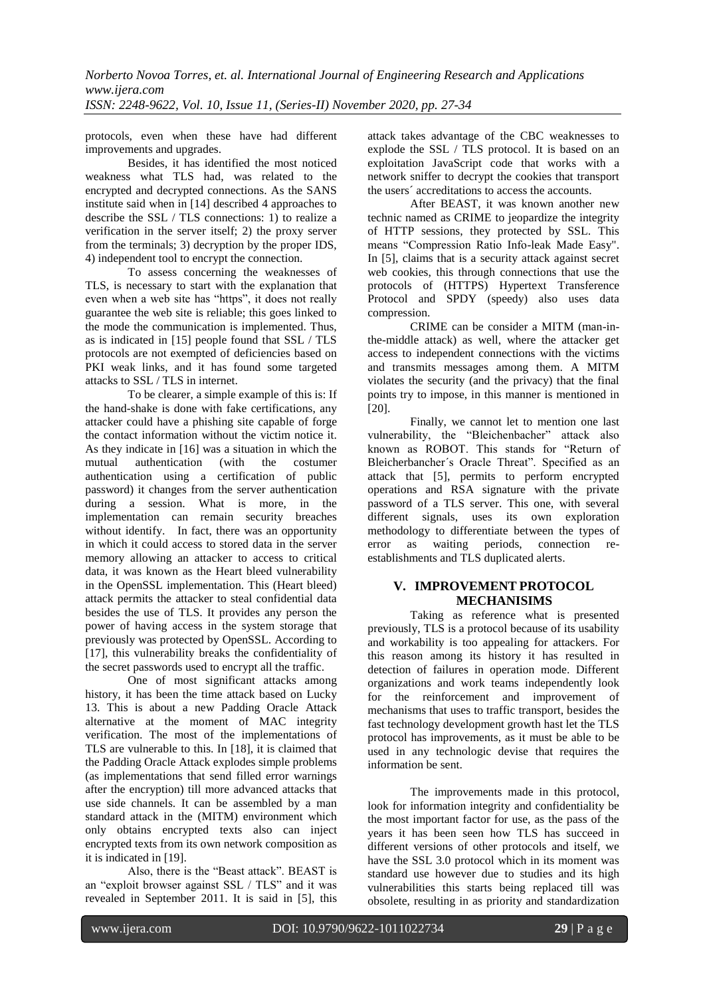protocols, even when these have had different improvements and upgrades.

Besides, it has identified the most noticed weakness what TLS had, was related to the encrypted and decrypted connections. As the SANS institute said when in [14] described 4 approaches to describe the SSL / TLS connections: 1) to realize a verification in the server itself; 2) the proxy server from the terminals; 3) decryption by the proper IDS, 4) independent tool to encrypt the connection.

To assess concerning the weaknesses of TLS, is necessary to start with the explanation that even when a web site has "https", it does not really guarantee the web site is reliable; this goes linked to the mode the communication is implemented. Thus, as is indicated in [15] people found that SSL / TLS protocols are not exempted of deficiencies based on PKI weak links, and it has found some targeted attacks to SSL / TLS in internet.

To be clearer, a simple example of this is: If the hand-shake is done with fake certifications, any attacker could have a phishing site capable of forge the contact information without the victim notice it. As they indicate in [16] was a situation in which the mutual authentication (with the costumer authentication (with the costumer authentication using a certification of public password) it changes from the server authentication during a session. What is more, in the implementation can remain security breaches without identify. In fact, there was an opportunity in which it could access to stored data in the server memory allowing an attacker to access to critical data, it was known as the Heart bleed vulnerability in the OpenSSL implementation. This (Heart bleed) attack permits the attacker to steal confidential data besides the use of TLS. It provides any person the power of having access in the system storage that previously was protected by OpenSSL. According to [17], this vulnerability breaks the confidentiality of the secret passwords used to encrypt all the traffic.

One of most significant attacks among history, it has been the time attack based on Lucky 13. This is about a new Padding Oracle Attack alternative at the moment of MAC integrity verification. The most of the implementations of TLS are vulnerable to this. In [18], it is claimed that the Padding Oracle Attack explodes simple problems (as implementations that send filled error warnings after the encryption) till more advanced attacks that use side channels. It can be assembled by a man standard attack in the (MITM) environment which only obtains encrypted texts also can inject encrypted texts from its own network composition as it is indicated in [19].

Also, there is the "Beast attack". BEAST is an "exploit browser against SSL / TLS" and it was revealed in September 2011. It is said in [5], this

attack takes advantage of the CBC weaknesses to explode the SSL / TLS protocol. It is based on an exploitation JavaScript code that works with a network sniffer to decrypt the cookies that transport the users´ accreditations to access the accounts.

After BEAST, it was known another new technic named as CRIME to jeopardize the integrity of HTTP sessions, they protected by SSL. This means "Compression Ratio Info-leak Made Easy". In [5], claims that is a security attack against secret web cookies, this through connections that use the protocols of (HTTPS) Hypertext Transference Protocol and SPDY (speedy) also uses data compression.

CRIME can be consider a MITM (man-inthe-middle attack) as well, where the attacker get access to independent connections with the victims and transmits messages among them. A MITM violates the security (and the privacy) that the final points try to impose, in this manner is mentioned in [20].

Finally, we cannot let to mention one last vulnerability, the "Bleichenbacher" attack also known as ROBOT. This stands for "Return of Bleicherbancher´s Oracle Threat". Specified as an attack that [5], permits to perform encrypted operations and RSA signature with the private password of a TLS server. This one, with several different signals, uses its own exploration methodology to differentiate between the types of error as waiting periods, connection reestablishments and TLS duplicated alerts.

# **V. IMPROVEMENT PROTOCOL MECHANISIMS**

Taking as reference what is presented previously, TLS is a protocol because of its usability and workability is too appealing for attackers. For this reason among its history it has resulted in detection of failures in operation mode. Different organizations and work teams independently look for the reinforcement and improvement of mechanisms that uses to traffic transport, besides the fast technology development growth hast let the TLS protocol has improvements, as it must be able to be used in any technologic devise that requires the information be sent.

The improvements made in this protocol, look for information integrity and confidentiality be the most important factor for use, as the pass of the years it has been seen how TLS has succeed in different versions of other protocols and itself, we have the SSL 3.0 protocol which in its moment was standard use however due to studies and its high vulnerabilities this starts being replaced till was obsolete, resulting in as priority and standardization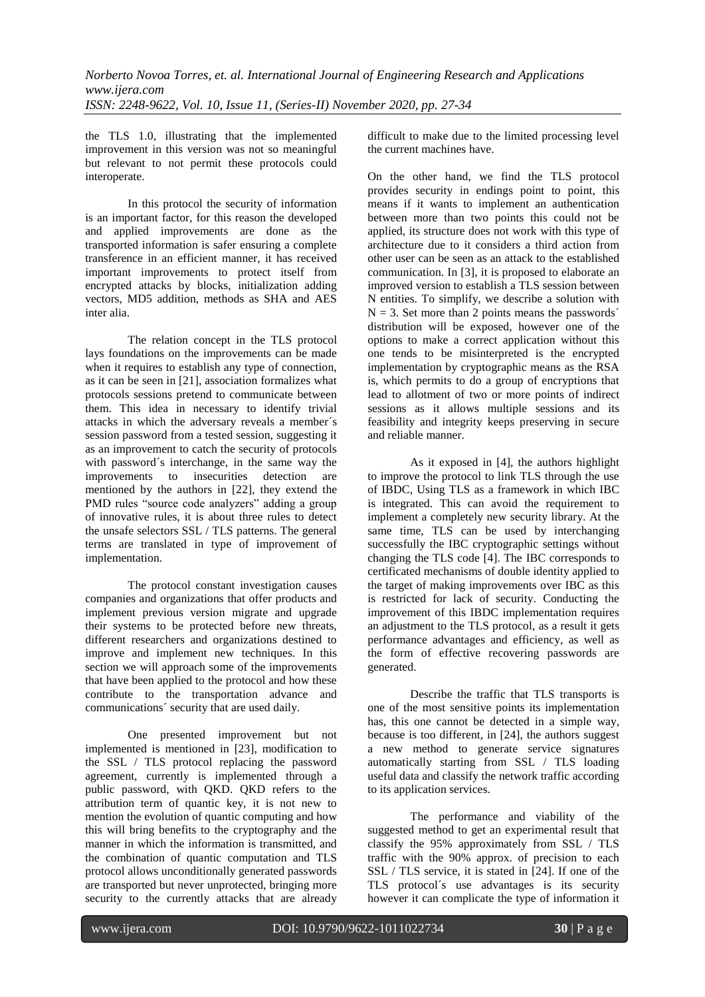the TLS 1.0, illustrating that the implemented improvement in this version was not so meaningful but relevant to not permit these protocols could interoperate.

In this protocol the security of information is an important factor, for this reason the developed and applied improvements are done as the transported information is safer ensuring a complete transference in an efficient manner, it has received important improvements to protect itself from encrypted attacks by blocks, initialization adding vectors, MD5 addition, methods as SHA and AES inter alia.

The relation concept in the TLS protocol lays foundations on the improvements can be made when it requires to establish any type of connection, as it can be seen in [21], association formalizes what protocols sessions pretend to communicate between them. This idea in necessary to identify trivial attacks in which the adversary reveals a member´s session password from a tested session, suggesting it as an improvement to catch the security of protocols with password´s interchange, in the same way the improvements to insecurities detection are mentioned by the authors in [22], they extend the PMD rules "source code analyzers" adding a group of innovative rules, it is about three rules to detect the unsafe selectors SSL / TLS patterns. The general terms are translated in type of improvement of implementation.

The protocol constant investigation causes companies and organizations that offer products and implement previous version migrate and upgrade their systems to be protected before new threats, different researchers and organizations destined to improve and implement new techniques. In this section we will approach some of the improvements that have been applied to the protocol and how these contribute to the transportation advance and communications´ security that are used daily.

One presented improvement but not implemented is mentioned in [23], modification to the SSL / TLS protocol replacing the password agreement, currently is implemented through a public password, with QKD. QKD refers to the attribution term of quantic key, it is not new to mention the evolution of quantic computing and how this will bring benefits to the cryptography and the manner in which the information is transmitted, and the combination of quantic computation and TLS protocol allows unconditionally generated passwords are transported but never unprotected, bringing more security to the currently attacks that are already

difficult to make due to the limited processing level the current machines have.

On the other hand, we find the TLS protocol provides security in endings point to point, this means if it wants to implement an authentication between more than two points this could not be applied, its structure does not work with this type of architecture due to it considers a third action from other user can be seen as an attack to the established communication. In [3], it is proposed to elaborate an improved version to establish a TLS session between N entities. To simplify, we describe a solution with  $N = 3$ . Set more than 2 points means the passwords<sup> $\gamma$ </sup> distribution will be exposed, however one of the options to make a correct application without this one tends to be misinterpreted is the encrypted implementation by cryptographic means as the RSA is, which permits to do a group of encryptions that lead to allotment of two or more points of indirect sessions as it allows multiple sessions and its feasibility and integrity keeps preserving in secure and reliable manner.

As it exposed in [4], the authors highlight to improve the protocol to link TLS through the use of IBDC, Using TLS as a framework in which IBC is integrated. This can avoid the requirement to implement a completely new security library. At the same time, TLS can be used by interchanging successfully the IBC cryptographic settings without changing the TLS code [4]. The IBC corresponds to certificated mechanisms of double identity applied to the target of making improvements over IBC as this is restricted for lack of security. Conducting the improvement of this IBDC implementation requires an adjustment to the TLS protocol, as a result it gets performance advantages and efficiency, as well as the form of effective recovering passwords are generated.

Describe the traffic that TLS transports is one of the most sensitive points its implementation has, this one cannot be detected in a simple way, because is too different, in [24], the authors suggest a new method to generate service signatures automatically starting from SSL / TLS loading useful data and classify the network traffic according to its application services.

The performance and viability of the suggested method to get an experimental result that classify the 95% approximately from SSL / TLS traffic with the 90% approx. of precision to each SSL / TLS service, it is stated in [24]. If one of the TLS protocol´s use advantages is its security however it can complicate the type of information it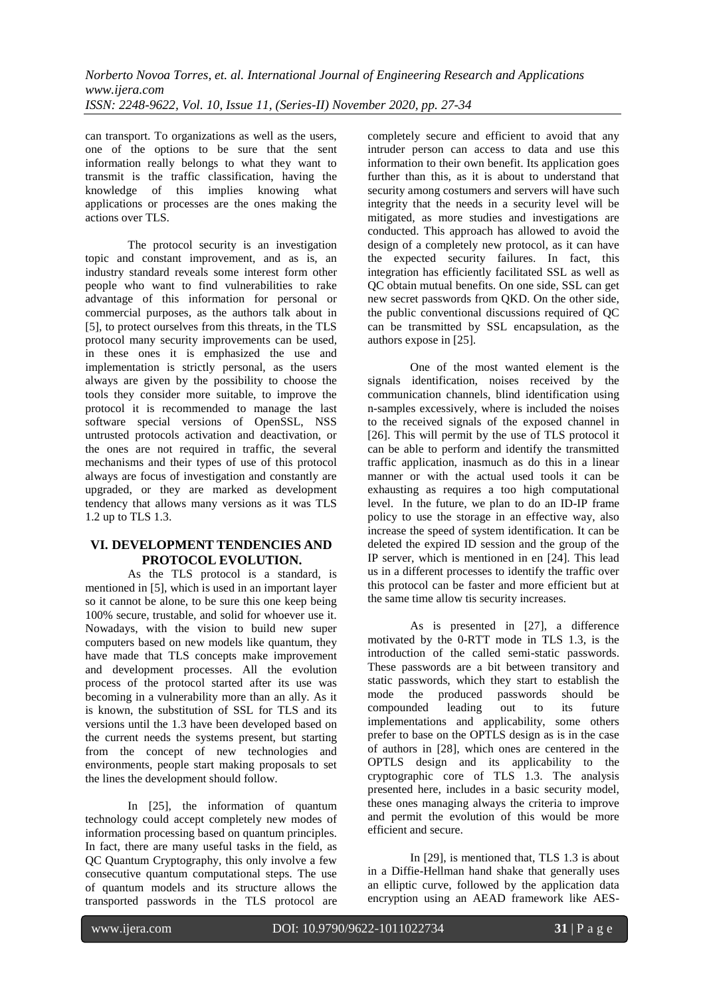can transport. To organizations as well as the users, one of the options to be sure that the sent information really belongs to what they want to transmit is the traffic classification, having the knowledge of this implies knowing what applications or processes are the ones making the actions over TLS.

The protocol security is an investigation topic and constant improvement, and as is, an industry standard reveals some interest form other people who want to find vulnerabilities to rake advantage of this information for personal or commercial purposes, as the authors talk about in [5], to protect ourselves from this threats, in the TLS protocol many security improvements can be used, in these ones it is emphasized the use and implementation is strictly personal, as the users always are given by the possibility to choose the tools they consider more suitable, to improve the protocol it is recommended to manage the last software special versions of OpenSSL, NSS untrusted protocols activation and deactivation, or the ones are not required in traffic, the several mechanisms and their types of use of this protocol always are focus of investigation and constantly are upgraded, or they are marked as development tendency that allows many versions as it was TLS 1.2 up to TLS 1.3.

#### **VI. DEVELOPMENT TENDENCIES AND PROTOCOL EVOLUTION.**

As the TLS protocol is a standard, is mentioned in [5], which is used in an important layer so it cannot be alone, to be sure this one keep being 100% secure, trustable, and solid for whoever use it. Nowadays, with the vision to build new super computers based on new models like quantum, they have made that TLS concepts make improvement and development processes. All the evolution process of the protocol started after its use was becoming in a vulnerability more than an ally. As it is known, the substitution of SSL for TLS and its versions until the 1.3 have been developed based on the current needs the systems present, but starting from the concept of new technologies and environments, people start making proposals to set the lines the development should follow.

In [25], the information of quantum technology could accept completely new modes of information processing based on quantum principles. In fact, there are many useful tasks in the field, as QC Quantum Cryptography, this only involve a few consecutive quantum computational steps. The use of quantum models and its structure allows the transported passwords in the TLS protocol are

completely secure and efficient to avoid that any intruder person can access to data and use this information to their own benefit. Its application goes further than this, as it is about to understand that security among costumers and servers will have such integrity that the needs in a security level will be mitigated, as more studies and investigations are conducted. This approach has allowed to avoid the design of a completely new protocol, as it can have the expected security failures. In fact, this integration has efficiently facilitated SSL as well as QC obtain mutual benefits. On one side, SSL can get new secret passwords from QKD. On the other side, the public conventional discussions required of QC can be transmitted by SSL encapsulation, as the authors expose in [25].

One of the most wanted element is the signals identification, noises received by the communication channels, blind identification using n-samples excessively, where is included the noises to the received signals of the exposed channel in [26]. This will permit by the use of TLS protocol it can be able to perform and identify the transmitted traffic application, inasmuch as do this in a linear manner or with the actual used tools it can be exhausting as requires a too high computational level. In the future, we plan to do an ID-IP frame policy to use the storage in an effective way, also increase the speed of system identification. It can be deleted the expired ID session and the group of the IP server, which is mentioned in en [24]. This lead us in a different processes to identify the traffic over this protocol can be faster and more efficient but at the same time allow tis security increases.

As is presented in [27], a difference motivated by the 0-RTT mode in TLS 1.3, is the introduction of the called semi-static passwords. These passwords are a bit between transitory and static passwords, which they start to establish the mode the produced passwords should be compounded leading out to its future implementations and applicability, some others prefer to base on the OPTLS design as is in the case of authors in [28], which ones are centered in the OPTLS design and its applicability to the cryptographic core of TLS 1.3. The analysis presented here, includes in a basic security model, these ones managing always the criteria to improve and permit the evolution of this would be more efficient and secure.

In [29], is mentioned that, TLS 1.3 is about in a Diffie-Hellman hand shake that generally uses an elliptic curve, followed by the application data encryption using an AEAD framework like AES-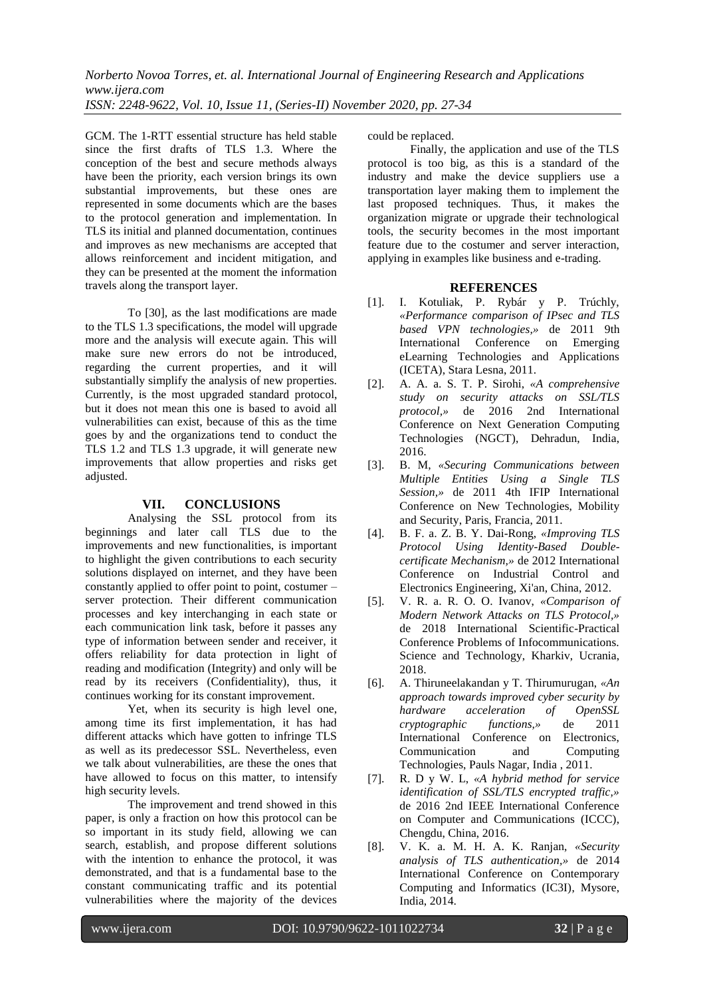GCM. The 1-RTT essential structure has held stable since the first drafts of TLS 1.3. Where the conception of the best and secure methods always have been the priority, each version brings its own substantial improvements, but these ones are represented in some documents which are the bases to the protocol generation and implementation. In TLS its initial and planned documentation, continues and improves as new mechanisms are accepted that allows reinforcement and incident mitigation, and they can be presented at the moment the information travels along the transport layer.

To [30], as the last modifications are made to the TLS 1.3 specifications, the model will upgrade more and the analysis will execute again. This will make sure new errors do not be introduced, regarding the current properties, and it will substantially simplify the analysis of new properties. Currently, is the most upgraded standard protocol, but it does not mean this one is based to avoid all vulnerabilities can exist, because of this as the time goes by and the organizations tend to conduct the TLS 1.2 and TLS 1.3 upgrade, it will generate new improvements that allow properties and risks get adjusted.

#### **VII. CONCLUSIONS**

Analysing the SSL protocol from its beginnings and later call TLS due to the improvements and new functionalities, is important to highlight the given contributions to each security solutions displayed on internet, and they have been constantly applied to offer point to point, costumer – server protection. Their different communication processes and key interchanging in each state or each communication link task, before it passes any type of information between sender and receiver, it offers reliability for data protection in light of reading and modification (Integrity) and only will be read by its receivers (Confidentiality), thus, it continues working for its constant improvement.

Yet, when its security is high level one, among time its first implementation, it has had different attacks which have gotten to infringe TLS as well as its predecessor SSL. Nevertheless, even we talk about vulnerabilities, are these the ones that have allowed to focus on this matter, to intensify high security levels.

The improvement and trend showed in this paper, is only a fraction on how this protocol can be so important in its study field, allowing we can search, establish, and propose different solutions with the intention to enhance the protocol, it was demonstrated, and that is a fundamental base to the constant communicating traffic and its potential vulnerabilities where the majority of the devices

could be replaced.

Finally, the application and use of the TLS protocol is too big, as this is a standard of the industry and make the device suppliers use a transportation layer making them to implement the last proposed techniques. Thus, it makes the organization migrate or upgrade their technological tools, the security becomes in the most important feature due to the costumer and server interaction, applying in examples like business and e-trading.

#### **REFERENCES**

- [1]. I. Kotuliak, P. Rybár y P. Trúchly, *«Performance comparison of IPsec and TLS based VPN technologies,»* de 2011 9th International Conference on Emerging eLearning Technologies and Applications (ICETA), Stara Lesna, 2011.
- [2]. A. A. a. S. T. P. Sirohi, *«A comprehensive study on security attacks on SSL/TLS protocol,»* de 2016 2nd International Conference on Next Generation Computing Technologies (NGCT), Dehradun, India, 2016.
- [3]. B. M, *«Securing Communications between Multiple Entities Using a Single TLS Session,»* de 2011 4th IFIP International Conference on New Technologies, Mobility and Security, Paris, Francia, 2011.
- [4]. B. F. a. Z. B. Y. Dai-Rong, *«Improving TLS Protocol Using Identity-Based Doublecertificate Mechanism,»* de 2012 International Conference on Industrial Control and Electronics Engineering, Xi'an, China, 2012.
- [5]. V. R. a. R. O. O. Ivanov, *«Comparison of Modern Network Attacks on TLS Protocol,»* de 2018 International Scientific-Practical Conference Problems of Infocommunications. Science and Technology, Kharkiv, Ucrania, 2018.
- [6]. A. Thiruneelakandan y T. Thirumurugan, *«An approach towards improved cyber security by hardware acceleration of OpenSSL cryptographic functions,»* de 2011 International Conference on Electronics, Communication and Computing Technologies, Pauls Nagar, India , 2011.
- [7]. R. D y W. L, *«A hybrid method for service identification of SSL/TLS encrypted traffic,»* de 2016 2nd IEEE International Conference on Computer and Communications (ICCC), Chengdu, China, 2016.
- [8]. V. K. a. M. H. A. K. Ranjan, *«Security analysis of TLS authentication,»* de 2014 International Conference on Contemporary Computing and Informatics (IC3I), Mysore, India, 2014.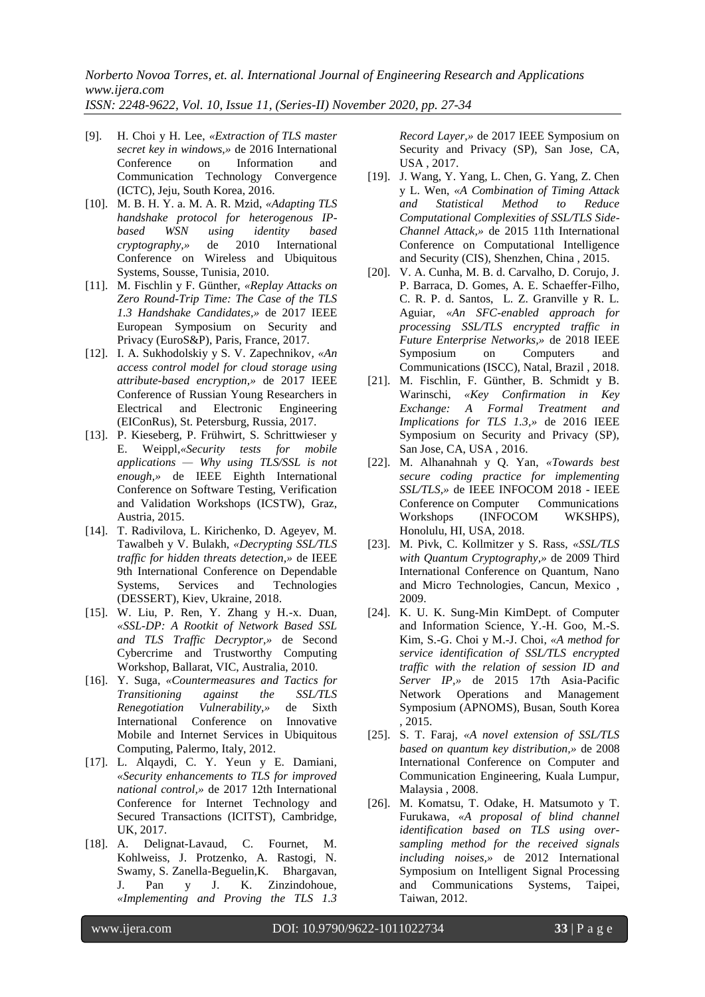- [9]. H. Choi y H. Lee, *«Extraction of TLS master secret key in windows,»* de 2016 International Conference on Information and Communication Technology Convergence (ICTC), Jeju, South Korea, 2016.
- [10]. M. B. H. Y. a. M. A. R. Mzid, *«Adapting TLS handshake protocol for heterogenous IPbased WSN using identity based cryptography,»* de 2010 International Conference on Wireless and Ubiquitous Systems, Sousse, Tunisia, 2010.
- [11]. M. Fischlin y F. Günther, *«Replay Attacks on Zero Round-Trip Time: The Case of the TLS 1.3 Handshake Candidates,»* de 2017 IEEE European Symposium on Security and Privacy (EuroS&P), Paris, France, 2017.
- [12]. I. A. Sukhodolskiy y S. V. Zapechnikov*, «An access control model for cloud storage using attribute-based encryption,»* de 2017 IEEE Conference of Russian Young Researchers in Electrical and Electronic Engineering (EIConRus), St. Petersburg, Russia, 2017.
- [13]. P. Kieseberg, P. Frühwirt, S. Schrittwieser y E. Weippl*,«Security tests for mobile applications — Why using TLS/SSL is not enough,»* de IEEE Eighth International Conference on Software Testing, Verification and Validation Workshops (ICSTW), Graz, Austria, 2015.
- [14]. T. Radivilova, L. Kirichenko, D. Ageyev, M. Tawalbeh y V. Bulakh, *«Decrypting SSL/TLS traffic for hidden threats detection,»* de IEEE 9th International Conference on Dependable Systems, Services and Technologies (DESSERT), Kiev, Ukraine, 2018.
- [15]. W. Liu, P. Ren, Y. Zhang y H.-x. Duan*, «SSL-DP: A Rootkit of Network Based SSL and TLS Traffic Decryptor,»* de Second Cybercrime and Trustworthy Computing Workshop, Ballarat, VIC, Australia, 2010.
- [16]. Y. Suga, *«Countermeasures and Tactics for Transitioning against the SSL/TLS Renegotiation Vulnerability,»* de Sixth International Conference on Innovative Mobile and Internet Services in Ubiquitous Computing, Palermo, Italy, 2012.
- [17]. L. Alqaydi, C. Y. Yeun y E. Damiani, *«Security enhancements to TLS for improved national control,»* de 2017 12th International Conference for Internet Technology and Secured Transactions (ICITST), Cambridge, UK, 2017.
- [18]. A. Delignat-Lavaud, C. Fournet, M. Kohlweiss, J. Protzenko, A. Rastogi, N. Swamy, S. Zanella-Beguelin,K. Bhargavan, J. Pan y J. K. Zinzindohoue, *«Implementing and Proving the TLS 1.3*

*Record Layer,»* de 2017 IEEE Symposium on Security and Privacy (SP), San Jose, CA, USA , 2017.

- [19]. J. Wang, Y. Yang, L. Chen, G. Yang, Z. Chen y L. Wen, *«A Combination of Timing Attack and Statistical Method to Reduce Computational Complexities of SSL/TLS Side-Channel Attack,»* de 2015 11th International Conference on Computational Intelligence and Security (CIS), Shenzhen, China , 2015.
- [20]. V. A. Cunha, M. B. d. Carvalho, D. Corujo, J. P. Barraca, D. Gomes, A. E. Schaeffer-Filho, C. R. P. d. Santos, L. Z. Granville y R. L. Aguiar*, «An SFC-enabled approach for processing SSL/TLS encrypted traffic in Future Enterprise Networks,»* de 2018 IEEE Symposium on Computers and Communications (ISCC), Natal, Brazil , 2018.
- [21]. M. Fischlin, F. Günther, B. Schmidt y B. Warinschi, *«Key Confirmation in Key Exchange: A Formal Treatment and Implications for TLS 1.3,»* de 2016 IEEE Symposium on Security and Privacy (SP), San Jose, CA, USA , 2016.
- [22]. M. Alhanahnah y Q. Yan, *«Towards best secure coding practice for implementing SSL/TLS,»* de IEEE INFOCOM 2018 - IEEE Conference on Computer Communications Workshops (INFOCOM WKSHPS), Honolulu, HI, USA, 2018.
- [23]. M. Pivk, C. Kollmitzer y S. Rass, *«SSL/TLS with Quantum Cryptography,»* de 2009 Third International Conference on Quantum, Nano and Micro Technologies, Cancun, Mexico , 2009.
- [24]. K. U. K. Sung-Min KimDept. of Computer and Information Science, Y.-H. Goo, M.-S. Kim, S.-G. Choi y M.-J. Choi, *«A method for service identification of SSL/TLS encrypted traffic with the relation of session ID and Server IP,»* de 2015 17th Asia-Pacific Network Operations and Management Symposium (APNOMS), Busan, South Korea , 2015.
- [25]. S. T. Faraj, *«A novel extension of SSL/TLS based on quantum key distribution,»* de 2008 International Conference on Computer and Communication Engineering, Kuala Lumpur, Malaysia , 2008.
- [26]. M. Komatsu, T. Odake, H. Matsumoto y T. Furukawa, *«A proposal of blind channel identification based on TLS using oversampling method for the received signals including noises,»* de 2012 International Symposium on Intelligent Signal Processing and Communications Systems, Taipei, Taiwan, 2012.